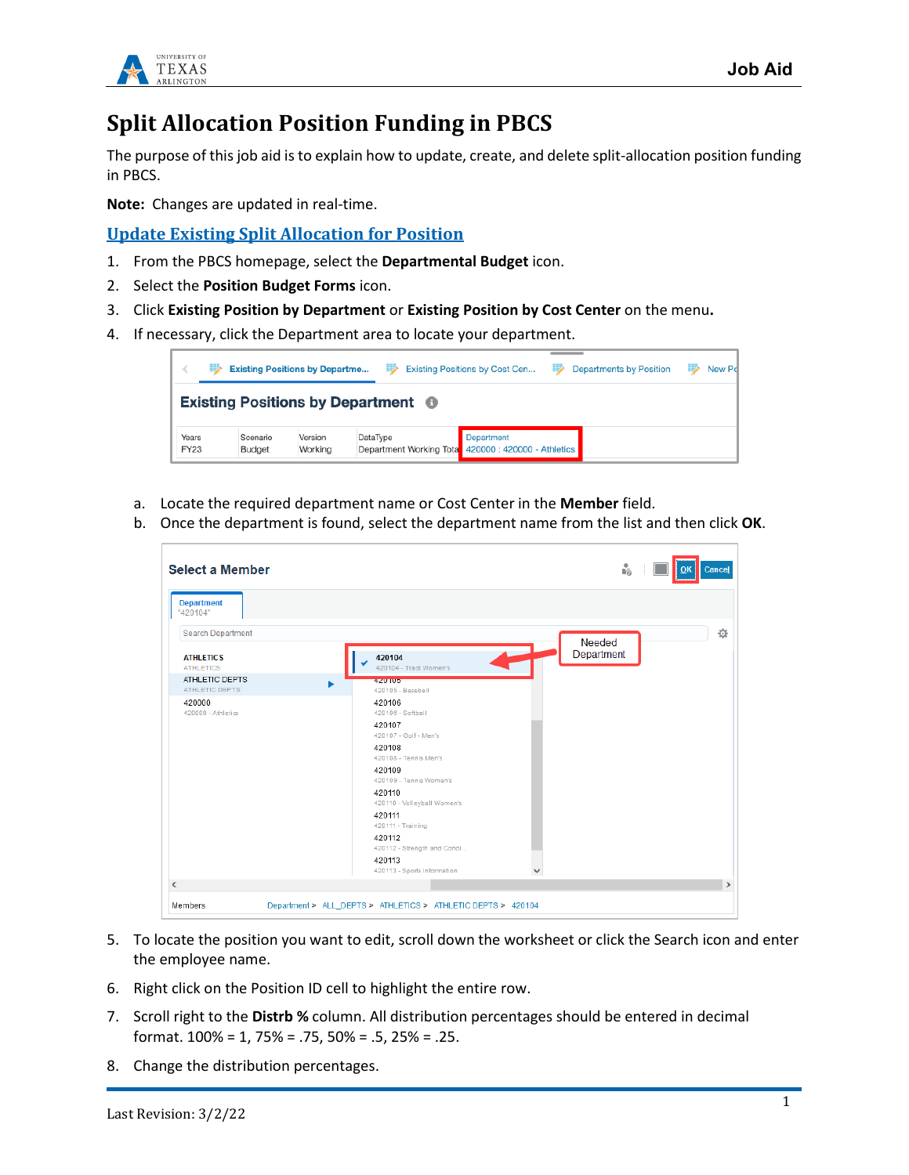

# **Split Allocation Position Funding in PBCS**

The purpose of this job aid is to explain how to update, create, and delete split-allocation position funding in PBCS.

**Note:** Changes are updated in real-time.

**Update Existing Split Allocation for Position**

- 1. From the PBCS homepage, select the **Departmental Budget** icon.
- 2. Select the **Position Budget Forms** icon.
- 3. Click **Existing Position by Department** or **Existing Position by Cost Center** on the menu**.**
- 4. If necessary, click the Department area to locate your department.

|               | <b>Existing Positions by Departme</b> |                    |                    |                                               | Existing Positions by Cost Cen<br>≕                               | <b>Departments by Position</b> | New Pd |
|---------------|---------------------------------------|--------------------|--------------------|-----------------------------------------------|-------------------------------------------------------------------|--------------------------------|--------|
|               |                                       |                    |                    | Existing Positions by Department <sup>6</sup> |                                                                   |                                |        |
| Years<br>FY23 |                                       | Scenario<br>Budget | Version<br>Working | DataType                                      | Department<br>Department Working Tota 420000 : 420000 - Athletics |                                |        |

- a. Locate the required department name or Cost Center in the **Member** field.
- b. Once the department is found, select the department name from the list and then click **OK**.

| <b>Select a Member</b>                                                        |                                                                                                                                                                                                                                                                                                  | ů.         | Cancel        |
|-------------------------------------------------------------------------------|--------------------------------------------------------------------------------------------------------------------------------------------------------------------------------------------------------------------------------------------------------------------------------------------------|------------|---------------|
| <b>Department</b><br>"420104"                                                 |                                                                                                                                                                                                                                                                                                  |            |               |
| Search Department                                                             |                                                                                                                                                                                                                                                                                                  | Needed     | 춙             |
| <b>ATHLETICS</b><br><b>ATHLETICS</b><br>ATHLETIC DEPTS<br>ь<br>ATHLETIC DEPTS | 420104<br>420104 - Track Women's<br>420105<br>420105 - Baseball                                                                                                                                                                                                                                  | Department |               |
| 420000<br>420000 - Athletics                                                  | 420106<br>420106 - Softball<br>420107<br>420107 - Golf - Men's<br>420108<br>420108 - Tennis Men's<br>420109<br>420109 - Tennis Women's<br>420110<br>420110 - Volleyball Women's<br>420111<br>420111 - Training<br>420112<br>420112 - Strength and Condi<br>420113<br>420113 - Sports Information |            |               |
| ≺                                                                             |                                                                                                                                                                                                                                                                                                  |            | $\rightarrow$ |
| Members                                                                       | Department > ALL_DEPTS > ATHLETICS > ATHLETIC DEPTS > 420104                                                                                                                                                                                                                                     |            |               |

- 5. To locate the position you want to edit, scroll down the worksheet or click the Search icon and enter the employee name.
- 6. Right click on the Position ID cell to highlight the entire row.
- 7. Scroll right to the **Distrb %** column. All distribution percentages should be entered in decimal format. 100% = 1, 75% = .75, 50% = .5, 25% = .25.
- 8. Change the distribution percentages.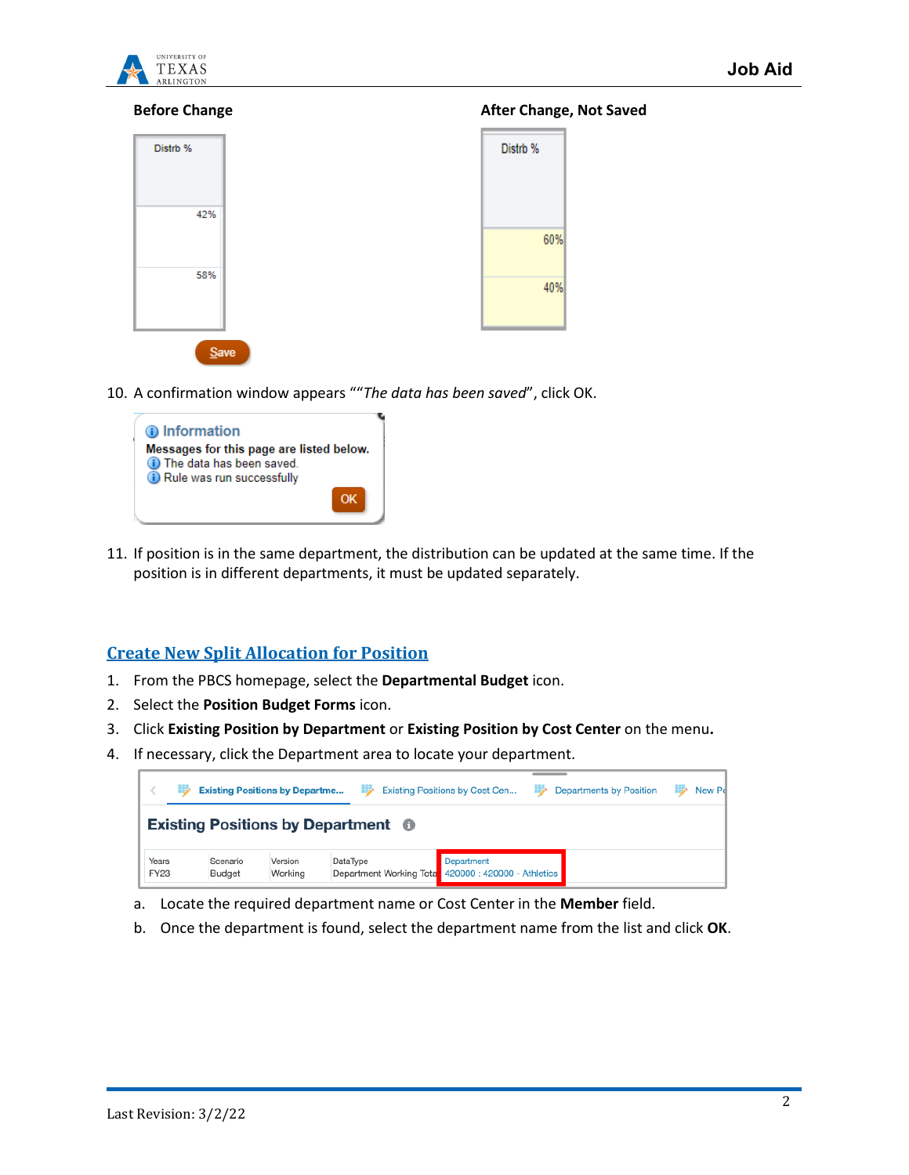

| Distrb %  |  |
|-----------|--|
| 42%       |  |
| 58%       |  |
| $C_{min}$ |  |

#### **Before Change After Change, Not Saved**

| Distrb % |  |
|----------|--|
| 60%      |  |
| 40%      |  |

10. A confirmation window appears ""*The data has been saved*", click OK.



11. If position is in the same department, the distribution can be updated at the same time. If the position is in different departments, it must be updated separately.

### **Create New Split Allocation for Position**

- 1. From the PBCS homepage, select the **Departmental Budget** icon.
- 2. Select the **Position Budget Forms** icon.
- 3. Click **Existing Position by Department** or **Existing Position by Cost Center** on the menu**.**
- 4. If necessary, click the Department area to locate your department.

|                      | <b>Existing Positions by Departme</b> |                    |                                           | ₩        | Existing Positions by Cost Cen                                           | ⋑ | <b>Departments by Position</b> | New Po |
|----------------------|---------------------------------------|--------------------|-------------------------------------------|----------|--------------------------------------------------------------------------|---|--------------------------------|--------|
|                      |                                       |                    | <b>Existing Positions by Department ©</b> |          |                                                                          |   |                                |        |
| Years<br><b>FY23</b> |                                       | Scenario<br>Budget | Version<br>Working                        | DataType | <b>Department</b><br>Department Working Tota 420000 : 420000 - Athletics |   |                                |        |

- a. Locate the required department name or Cost Center in the **Member** field.
- b. Once the department is found, select the department name from the list and click **OK**.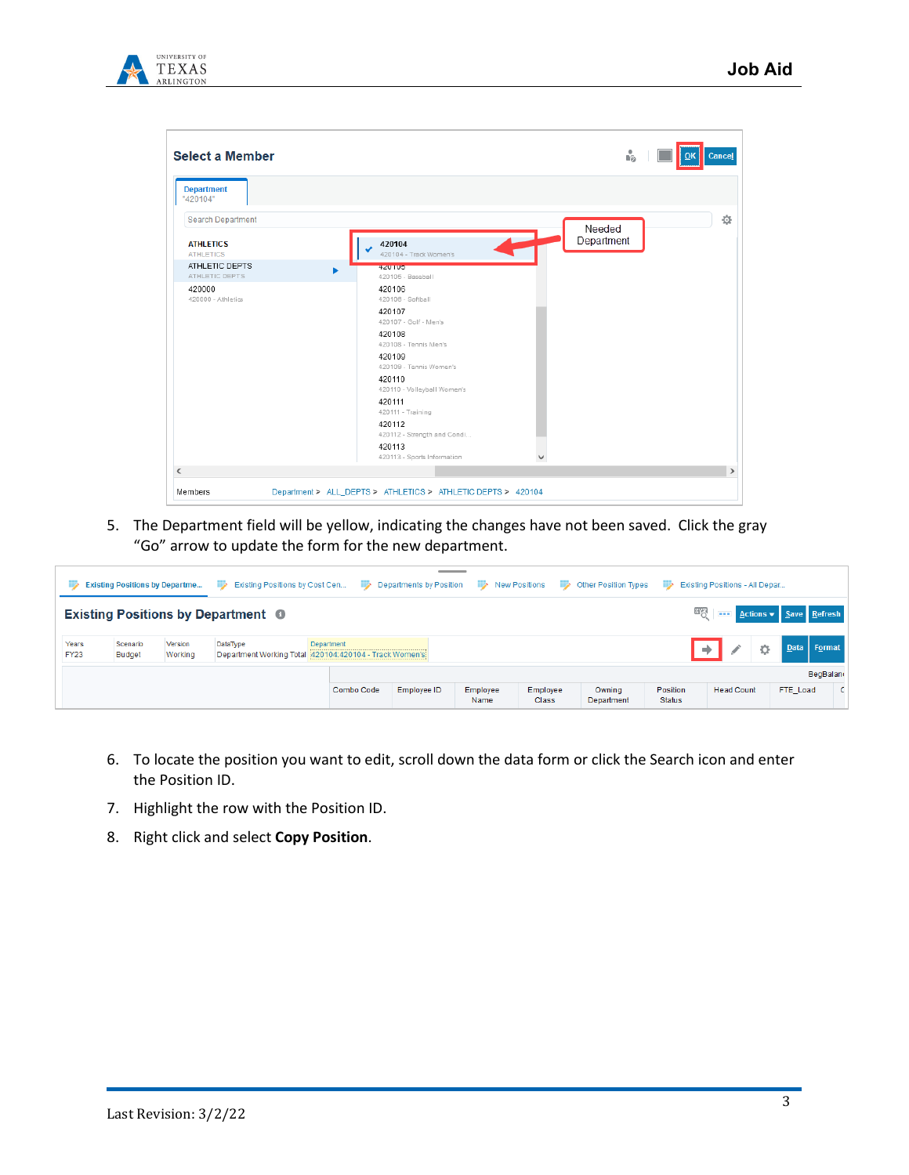

|                                      |                                       | Ů.         |   |
|--------------------------------------|---------------------------------------|------------|---|
| <b>Department</b><br>"420104"        |                                       |            |   |
| <b>Search Department</b>             |                                       | Needed     | 춙 |
| <b>ATHLETICS</b><br><b>ATHLETICS</b> | 420104<br>420104 - Track Women's      | Department |   |
| ATHLETIC DEPTS<br>ATHLETIC DEPTS     | 420109<br>420105 - Baseball           |            |   |
| 420000<br>420000 - Athletics         | 420106<br>420106 - Softball           |            |   |
|                                      | 420107<br>420107 - Golf - Men's       |            |   |
|                                      | 420108<br>420108 - Tennis Men's       |            |   |
|                                      | 420109<br>420109 - Tennis Women's     |            |   |
|                                      | 420110<br>420110 - Volleyball Women's |            |   |
|                                      | 420111<br>420111 - Training           |            |   |
|                                      | 420112<br>420112 - Strength and Condi |            |   |
|                                      | 420113<br>420113 - Sports Information |            |   |
|                                      |                                       |            |   |

5. The Department field will be yellow, indicating the changes have not been saved. Click the gray "Go" arrow to update the form for the new department.

| ⋑                    | <b>Existing Positions by Departme</b>                                                                                                                   |  | Existing Positions by Cost Cen<br>⋗       |            |             |                  |                          | Departments by Position Dev New Positions Dev Other Position Types | - 2                       | Existing Positions - All Depar         |          |                 |
|----------------------|---------------------------------------------------------------------------------------------------------------------------------------------------------|--|-------------------------------------------|------------|-------------|------------------|--------------------------|--------------------------------------------------------------------|---------------------------|----------------------------------------|----------|-----------------|
|                      |                                                                                                                                                         |  | <b>Existing Positions by Department ©</b> |            |             |                  |                          |                                                                    |                           | <b>EVALUATE Actions v</b> Save Refresh |          |                 |
| Years<br><b>FY23</b> | Version<br>DataType<br>Department<br>Scenario<br>Data Format<br>≎<br>Department Working Total 420104:420104 - Track Women's<br><b>Budget</b><br>Working |  |                                           |            |             |                  |                          |                                                                    |                           |                                        |          |                 |
|                      |                                                                                                                                                         |  |                                           |            |             |                  |                          |                                                                    |                           |                                        |          | <b>BegBalan</b> |
|                      |                                                                                                                                                         |  |                                           | Combo Code | Employee ID | Employee<br>Name | Employee<br><b>Class</b> | Owning<br>Department                                               | Position<br><b>Status</b> | <b>Head Count</b>                      | FTE_Load | C I             |

- 6. To locate the position you want to edit, scroll down the data form or click the Search icon and enter the Position ID.
- 7. Highlight the row with the Position ID.
- 8. Right click and select **Copy Position**.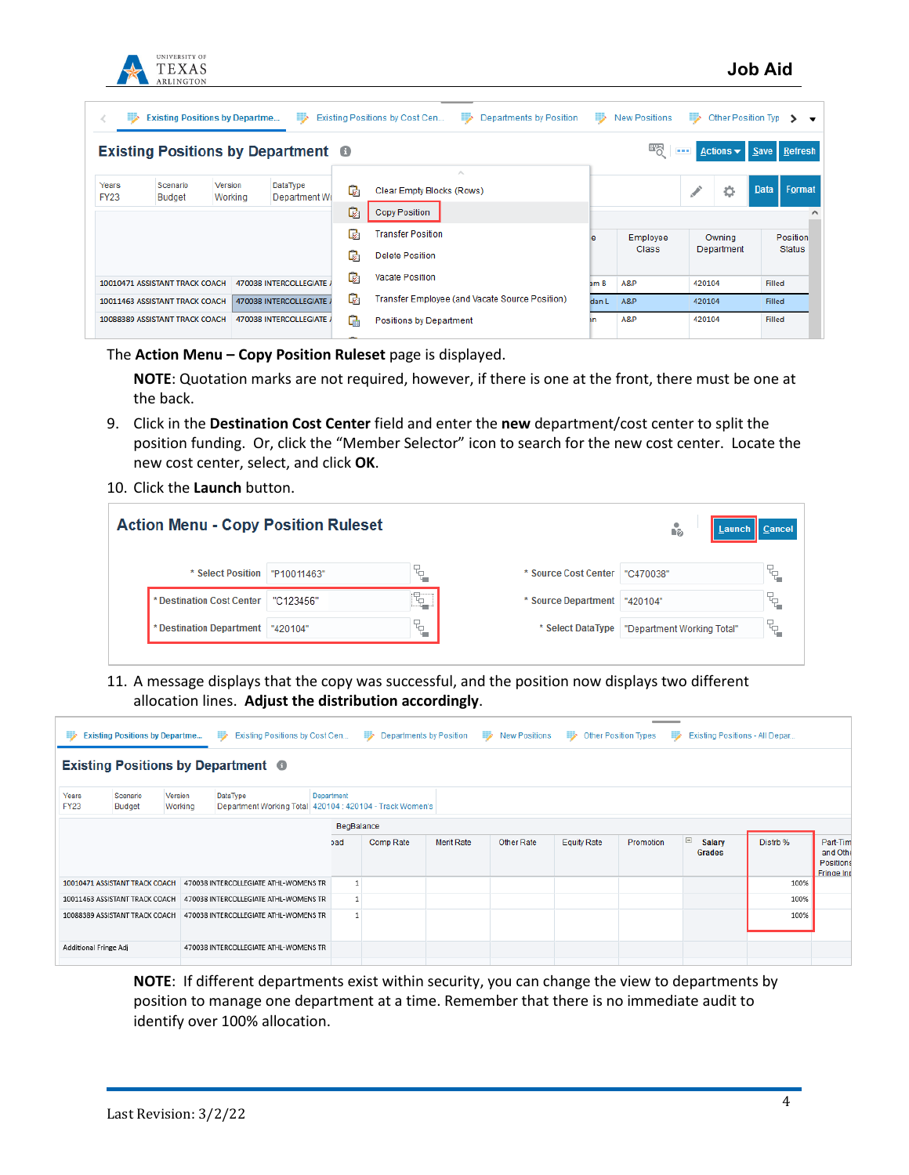

| 53                   | <b>Existing Positions by Departme</b>                      |                    | ⋑                                         |    | Existing Positions by Cost Cen<br>⋑<br>Departments by Position | ⋑     | <b>New Positions</b> | ⋑      | Other Position Tvp > |               |                                               |
|----------------------|------------------------------------------------------------|--------------------|-------------------------------------------|----|----------------------------------------------------------------|-------|----------------------|--------|----------------------|---------------|-----------------------------------------------|
|                      |                                                            |                    | <b>Existing Positions by Department ●</b> |    |                                                                |       | ணத                   | $\sim$ |                      |               | Actions $\overline{\phantom{a}}$ Save Refresh |
|                      |                                                            |                    |                                           |    |                                                                |       |                      |        |                      |               |                                               |
| Years<br><b>FY23</b> | Scenario<br><b>Budget</b>                                  | Version<br>Working | DataType<br>Department Wo                 | C. | Clear Empty Blocks (Rows)                                      |       |                      |        | ٠                    | Data          | Format                                        |
|                      |                                                            |                    |                                           | Q  | <b>Copy Position</b>                                           |       |                      |        |                      |               |                                               |
|                      |                                                            |                    |                                           | C. | <b>Transfer Position</b>                                       | e     | Employee             |        | Owning<br>Department |               | Position                                      |
|                      |                                                            |                    |                                           | Q. | <b>Delete Position</b>                                         |       | <b>Class</b>         |        |                      |               | <b>Status</b>                                 |
|                      | 10010471 ASSISTANT TRACK COACH                             |                    | 470038 INTERCOLLEGIATE A                  | Q. | Vacate Position                                                | am B  | A&P                  | 420104 |                      | <b>Filled</b> |                                               |
|                      | 470038 INTERCOLLEGIATE /<br>10011463 ASSISTANT TRACK COACH |                    |                                           | Q. | Transfer Employee (and Vacate Source Position)                 | dan L | A&P                  | 420104 |                      | Filled        |                                               |
|                      | 10088389 ASSISTANT TRACK COACH<br>470038 INTERCOLLEGIATE A |                    |                                           | G. | Positions by Department                                        |       | A&P                  | 420104 |                      | <b>Filled</b> |                                               |
|                      |                                                            |                    |                                           |    |                                                                |       |                      |        |                      |               |                                               |

The **Action Menu – Copy Position Ruleset** page is displayed.

**NOTE**: Quotation marks are not required, however, if there is one at the front, there must be one at the back.

- 9. Click in the **Destination Cost Center** field and enter the **new** department/cost center to split the position funding. Or, click the "Member Selector" icon to search for the new cost center. Locate the new cost center, select, and click **OK**.
- 10. Click the **Launch** button.

| <b>Action Menu - Copy Position Ruleset</b> |             |         |                      | ů.<br>  Launch    Cancel   |    |
|--------------------------------------------|-------------|---------|----------------------|----------------------------|----|
| * Select Position                          | "P10011463" | ኚ<br>'' | * Source Cost Center | "C470038"                  | q. |
| * Destination Cost Center                  | "C123456"   | ٦       | * Source Department  | "420104"                   | q. |
| * Destination Department                   | "420104"    | q.      | * Select DataType    | "Department Working Total" | q. |
|                                            |             |         |                      |                            |    |

11. A message displays that the copy was successful, and the position now displays two different allocation lines. **Adjust the distribution accordingly**.

| ⋑                     | ____<br><b>New Positions</b><br>⋑<br><b>Existing Positions by Departme</b><br>Existing Positions by Cost Cen<br>⋑<br>Departments by Position<br><b>Other Position Types</b><br>Existing Positions - All Depar<br><b>Allen</b><br>ED. |                    |                                                                      |            |           |                   |            |                    |           |                                     |          |                                                        |  |
|-----------------------|--------------------------------------------------------------------------------------------------------------------------------------------------------------------------------------------------------------------------------------|--------------------|----------------------------------------------------------------------|------------|-----------|-------------------|------------|--------------------|-----------|-------------------------------------|----------|--------------------------------------------------------|--|
|                       | <b>Existing Positions by Department ●</b>                                                                                                                                                                                            |                    |                                                                      |            |           |                   |            |                    |           |                                     |          |                                                        |  |
| Years<br><b>FY23</b>  | Scenario<br><b>Budget</b>                                                                                                                                                                                                            | Version<br>Working | DataType<br>Department Working Total 420104 : 420104 - Track Women's | Department |           |                   |            |                    |           |                                     |          |                                                        |  |
|                       |                                                                                                                                                                                                                                      |                    |                                                                      | BegBalance |           |                   |            |                    |           |                                     |          |                                                        |  |
|                       |                                                                                                                                                                                                                                      |                    |                                                                      | bad        | Comp Rate | <b>Merit Rate</b> | Other Rate | <b>Equity Rate</b> | Promotion | $\equiv$<br><b>Salary</b><br>Grades | Distrb % | Part-Tim<br>and Othe<br>Positions<br><b>Fringe Inc</b> |  |
|                       | 10010471 ASSISTANT TRACK COACH                                                                                                                                                                                                       |                    | 470038 INTERCOLLEGIATE ATHL-WOMENS TR                                |            |           |                   |            |                    |           |                                     | 100%     |                                                        |  |
|                       | 10011463 ASSISTANT TRACK COACH                                                                                                                                                                                                       |                    | 470038 INTERCOLLEGIATE ATHL-WOMENS TR                                |            |           |                   |            |                    |           |                                     | 100%     |                                                        |  |
|                       | 10088389 ASSISTANT TRACK COACH                                                                                                                                                                                                       |                    | 470038 INTERCOLLEGIATE ATHL-WOMENS TR                                |            |           |                   |            |                    |           |                                     | 100%     |                                                        |  |
| Additional Fringe Adj |                                                                                                                                                                                                                                      |                    | 470038 INTERCOLLEGIATE ATHL-WOMENS TR                                |            |           |                   |            |                    |           |                                     |          |                                                        |  |

**NOTE**: If different departments exist within security, you can change the view to departments by position to manage one department at a time. Remember that there is no immediate audit to identify over 100% allocation.